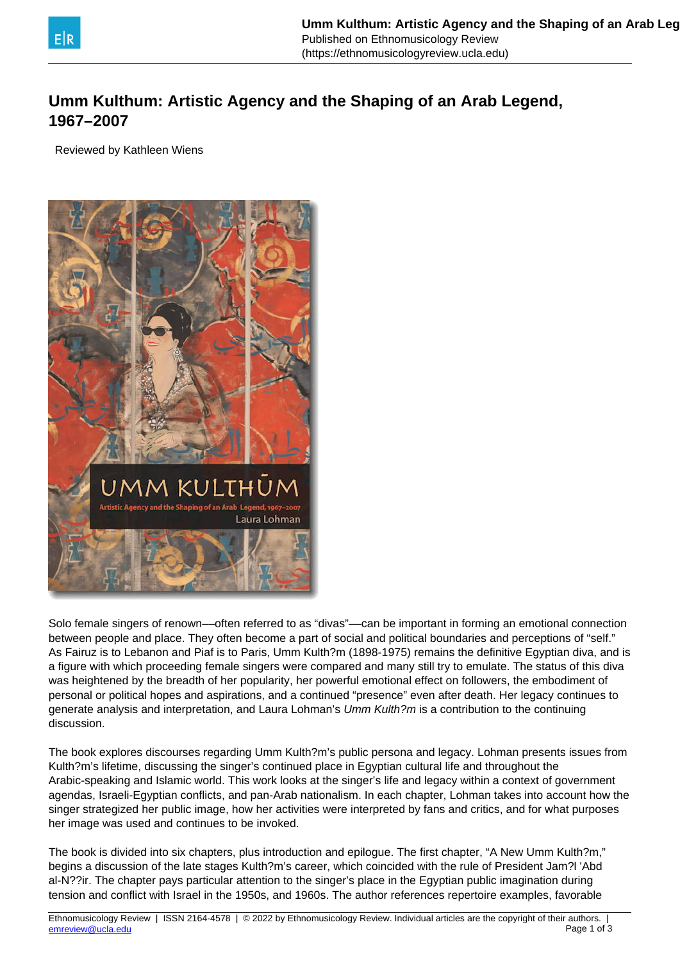

## **Umm Kulthum: Artistic Agency and the Shaping of an Arab Legend, 1967–2007**

Reviewed by Kathleen Wiens



Solo female singers of renown––often referred to as "divas"––can be important in forming an emotional connection between people and place. They often become a part of social and political boundaries and perceptions of "self." As Fairuz is to Lebanon and Piaf is to Paris, Umm Kulth?m (1898-1975) remains the definitive Egyptian diva, and is a figure with which proceeding female singers were compared and many still try to emulate. The status of this diva was heightened by the breadth of her popularity, her powerful emotional effect on followers, the embodiment of personal or political hopes and aspirations, and a continued "presence" even after death. Her legacy continues to generate analysis and interpretation, and Laura Lohman's Umm Kulth?m is a contribution to the continuing discussion.

The book explores discourses regarding Umm Kulth?m's public persona and legacy. Lohman presents issues from Kulth?m's lifetime, discussing the singer's continued place in Egyptian cultural life and throughout the Arabic-speaking and Islamic world. This work looks at the singer's life and legacy within a context of government agendas, Israeli-Egyptian conflicts, and pan-Arab nationalism. In each chapter, Lohman takes into account how the singer strategized her public image, how her activities were interpreted by fans and critics, and for what purposes her image was used and continues to be invoked.

The book is divided into six chapters, plus introduction and epilogue. The first chapter, "A New Umm Kulth?m," begins a discussion of the late stages Kulth?m's career, which coincided with the rule of President Jam?l 'Abd al-N??ir. The chapter pays particular attention to the singer's place in the Egyptian public imagination during tension and conflict with Israel in the 1950s, and 1960s. The author references repertoire examples, favorable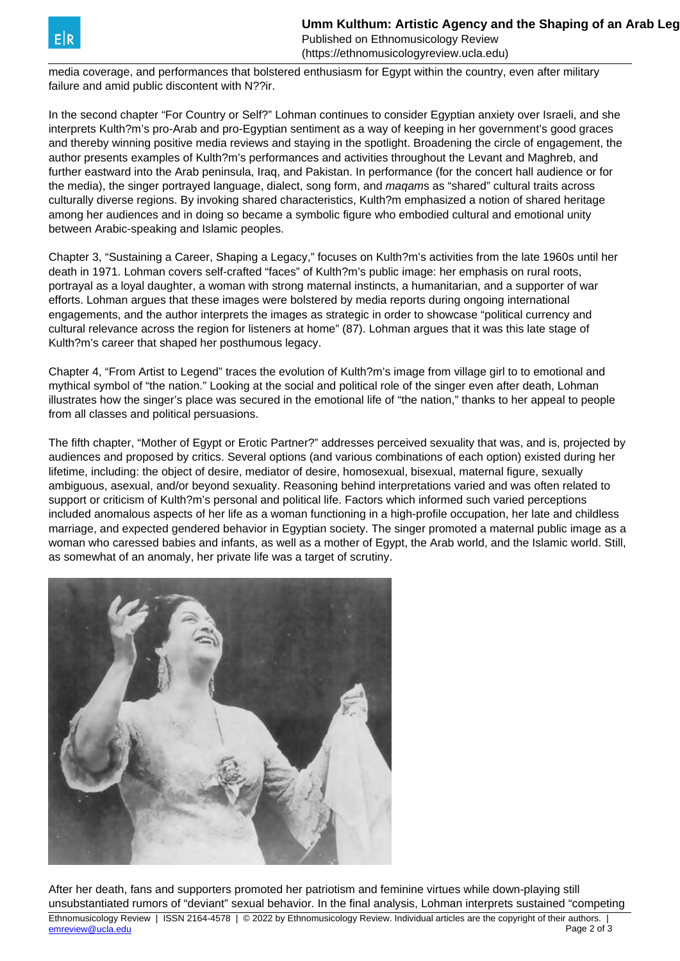Published on Ethnomusicology Review (https://ethnomusicologyreview.ucla.edu)

media coverage, and performances that bolstered enthusiasm for Egypt within the country, even after military failure and amid public discontent with N??ir.

In the second chapter "For Country or Self?" Lohman continues to consider Egyptian anxiety over Israeli, and she interprets Kulth?m's pro-Arab and pro-Egyptian sentiment as a way of keeping in her government's good graces and thereby winning positive media reviews and staying in the spotlight. Broadening the circle of engagement, the author presents examples of Kulth?m's performances and activities throughout the Levant and Maghreb, and further eastward into the Arab peninsula, Iraq, and Pakistan. In performance (for the concert hall audience or for the media), the singer portrayed language, dialect, song form, and magams as "shared" cultural traits across culturally diverse regions. By invoking shared characteristics, Kulth?m emphasized a notion of shared heritage among her audiences and in doing so became a symbolic figure who embodied cultural and emotional unity between Arabic-speaking and Islamic peoples.

Chapter 3, "Sustaining a Career, Shaping a Legacy," focuses on Kulth?m's activities from the late 1960s until her death in 1971. Lohman covers self-crafted "faces" of Kulth?m's public image: her emphasis on rural roots, portrayal as a loyal daughter, a woman with strong maternal instincts, a humanitarian, and a supporter of war efforts. Lohman argues that these images were bolstered by media reports during ongoing international engagements, and the author interprets the images as strategic in order to showcase "political currency and cultural relevance across the region for listeners at home" (87). Lohman argues that it was this late stage of Kulth?m's career that shaped her posthumous legacy.

Chapter 4, "From Artist to Legend" traces the evolution of Kulth?m's image from village girl to to emotional and mythical symbol of "the nation." Looking at the social and political role of the singer even after death, Lohman illustrates how the singer's place was secured in the emotional life of "the nation," thanks to her appeal to people from all classes and political persuasions.

The fifth chapter, "Mother of Egypt or Erotic Partner?" addresses perceived sexuality that was, and is, projected by audiences and proposed by critics. Several options (and various combinations of each option) existed during her lifetime, including: the object of desire, mediator of desire, homosexual, bisexual, maternal figure, sexually ambiguous, asexual, and/or beyond sexuality. Reasoning behind interpretations varied and was often related to support or criticism of Kulth?m's personal and political life. Factors which informed such varied perceptions included anomalous aspects of her life as a woman functioning in a high-profile occupation, her late and childless marriage, and expected gendered behavior in Egyptian society. The singer promoted a maternal public image as a woman who caressed babies and infants, as well as a mother of Egypt, the Arab world, and the Islamic world. Still, as somewhat of an anomaly, her private life was a target of scrutiny.



After her death, fans and supporters promoted her patriotism and feminine virtues while down-playing still unsubstantiated rumors of "deviant" sexual behavior. In the final analysis, Lohman interprets sustained "competing